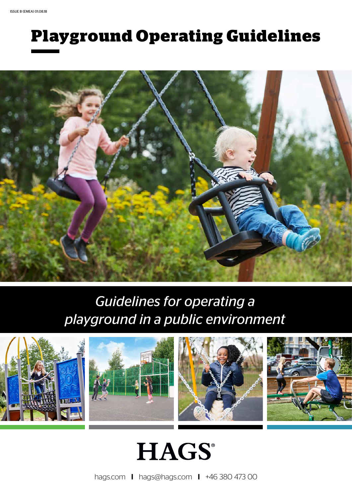# **Playground Operating Guidelines**



# *Guidelines for operating a playground in a public environment*



# **HAGS®**

hags.com I hags@hags.com I +46 380 473 00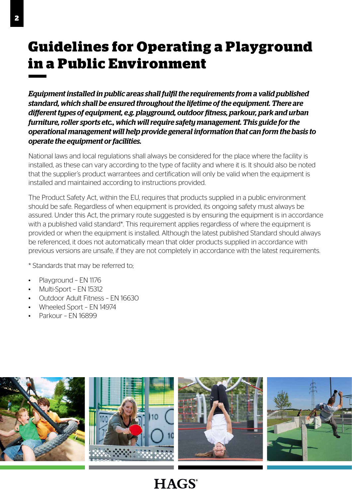# **Guidelines for Operating a Playground in a Public Environment**

*Equipment installed in public areas shall fulfil the requirements from a valid published standard, which shall be ensured throughout the lifetime of the equipment. There are different types of equipment, e.g. playground, outdoor fitness, parkour, park and urban furniture, roller sports etc., which will require safety management. This guide for the operational management will help provide general information that can form the basis to operate the equipment or facilities.*

National laws and local regulations shall always be considered for the place where the facility is installed, as these can vary according to the type of facility and where it is. It should also be noted that the supplier's product warrantees and certification will only be valid when the equipment is installed and maintained according to instructions provided.

The Product Safety Act, within the EU, requires that products supplied in a public environment should be safe. Regardless of when equipment is provided, its ongoing safety must always be assured. Under this Act, the primary route suggested is by ensuring the equipment is in accordance with a published valid standard\*. This requirement applies regardless of where the equipment is provided or when the equipment is installed. Although the latest published Standard should always be referenced, it does not automatically mean that older products supplied in accordance with previous versions are unsafe, if they are not completely in accordance with the latest requirements.

\* Standards that may be referred to;

- Playground EN 1176
- Multi-Sport EN 15312
- Outdoor Adult Fitness EN 16630
- Wheeled Sport EN 14974
- Parkour EN 16899









### **2**

# **HAGS**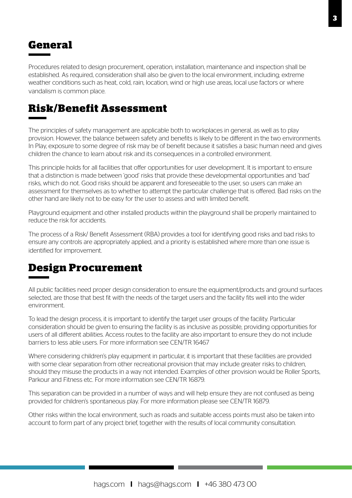### **General**

Procedures related to design procurement, operation, installation, maintenance and inspection shall be established. As required, consideration shall also be given to the local environment, including; extreme weather conditions such as heat, cold, rain, location, wind or high use areas, local use factors or where vandalism is common place.

### **Risk/Benefit Assessment**

The principles of safety management are applicable both to workplaces in general, as well as to play provision. However, the balance between safety and benefits is likely to be different in the two environments. In Play, exposure to some degree of risk may be of benefit because it satisfies a basic human need and gives children the chance to learn about risk and its consequences in a controlled environment.

This principle holds for all facilities that offer opportunities for user development. It is important to ensure that a distinction is made between 'good' risks that provide these developmental opportunities and 'bad' risks, which do not. Good risks should be apparent and foreseeable to the user, so users can make an assessment for themselves as to whether to attempt the particular challenge that is offered. Bad risks on the other hand are likely not to be easy for the user to assess and with limited benefit.

Playground equipment and other installed products within the playground shall be properly maintained to reduce the risk for accidents.

The process of a Risk/ Benefit Assessment (RBA) provides a tool for identifying good risks and bad risks to ensure any controls are appropriately applied, and a priority is established where more than one issue is identified for improvement.

### **Design Procurement**

All public facilities need proper design consideration to ensure the equipment/products and ground surfaces selected, are those that best fit with the needs of the target users and the facility fits well into the wider environment.

To lead the design process, it is important to identify the target user groups of the facility. Particular consideration should be given to ensuring the facility is as inclusive as possible, providing opportunities for users of all different abilities. Access routes to the facility are also important to ensure they do not include barriers to less able users. For more information see CEN/TR 16467

Where considering children's play equipment in particular, it is important that these facilities are provided with some clear separation from other recreational provision that may include greater risks to children, should they misuse the products in a way not intended. Examples of other provision would be Roller Sports, Parkour and Fitness etc. For more information see CEN/TR 16879.

This separation can be provided in a number of ways and will help ensure they are not confused as being provided for children's spontaneous play. For more information please see CEN/TR 16879.

Other risks within the local environment, such as roads and suitable access points must also be taken into account to form part of any project brief, together with the results of local community consultation.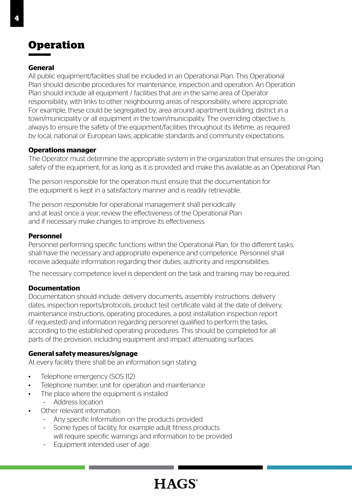### **Operation**

#### **General**

All public equipment/facilities shall be included in an Operational Plan. This Operational Plan should describe procedures for maintenance, inspection and operation. An Operation Plan should include all equipment / facilities that are in the same area of Operator responsibility, with links to other neighbouring areas of responsibility, where appropriate. For example, these could be segregated by; area around apartment building, district in a town/municipality or all equipment in the town/municipality. The overriding objective is always to ensure the safety of the equipment/facilities throughout its lifetime, as required by local, national or European laws, applicable standards and community expectations.

#### **Operations manager**

The Operator must determine the appropriate system in the organization that ensures the on-going safety of the equipment, for as long as it is provided and make this available as an Operational Plan.

The person responsible for the operation must ensure that the documentation for the equipment is kept in a satisfactory manner and is readily retrievable.

The person responsible for operational management shall periodically and at least once a year, review the effectiveness of the Operational Plan and if necessary make changes to improve its effectiveness.

#### **Personnel**

Personnel performing specific functions within the Operational Plan, for the different tasks, shall have the necessary and appropriate experience and competence. Personnel shall receive adequate information regarding their duties, authority and responsibilities.

The necessary competence level is dependent on the task and training may be required.

#### **Documentation**

Documentation should include: delivery documents, assembly instructions, delivery dates, inspection reports/protocols, product test certificate valid at the date of delivery, maintenance instructions, operating procedures, a post installation inspection report (if requested) and information regarding personnel qualified to perform the tasks, according to the established operating procedures. This should be completed for all parts of the provision, including equipment and impact attenuating surfaces.

#### **General safety measures/signage**

At every facility there shall be an information sign stating:

- Telephone emergency (SOS 112)
- Telephone number, unit for operation and maintenance
- The place where the equipment is installed
- Address location
- Other relevant information:
	- Any specific Information on the products provided
	- Some types of facility, for example adult fitness products will require specific warnings and information to be provided
	- Equipment intended user of age.

# $HAGS^*$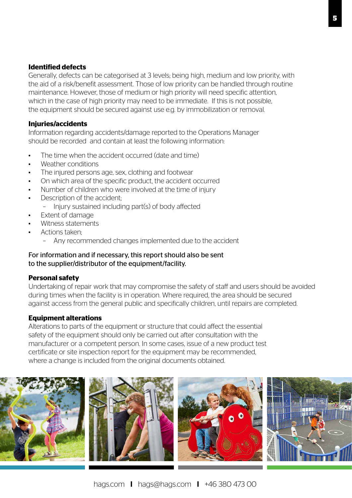#### **Identified defects**

Generally, defects can be categorised at 3 levels; being high, medium and low priority, with the aid of a risk/benefit assessment. Those of low priority can be handled through routine maintenance. However, those of medium or high priority will need specific attention, which in the case of high priority may need to be immediate. If this is not possible, the equipment should be secured against use e.g. by immobilization or removal.

#### **Injuries/accidents**

Information regarding accidents/damage reported to the Operations Manager should be recorded and contain at least the following information:

- The time when the accident occurred (date and time)
- Weather conditions
- The injured persons age, sex, clothing and footwear
- On which area of the specific product, the accident occurred
- Number of children who were involved at the time of injury
- Description of the accident:
- Injury sustained including part(s) of body affected
- Extent of damage
- Witness statements
- Actions taken;
	- Any recommended changes implemented due to the accident

#### For information and if necessary, this report should also be sent to the supplier/distributor of the equipment/facility.

#### **Personal safety**

Undertaking of repair work that may compromise the safety of staff and users should be avoided during times when the facility is in operation. Where required, the area should be secured against access from the general public and specifically children, until repairs are completed.

#### **Equipment alterations**

Alterations to parts of the equipment or structure that could affect the essential safety of the equipment should only be carried out after consultation with the manufacturer or a competent person. In some cases, issue of a new product test certificate or site inspection report for the equipment may be recommended, where a change is included from the original documents obtained.

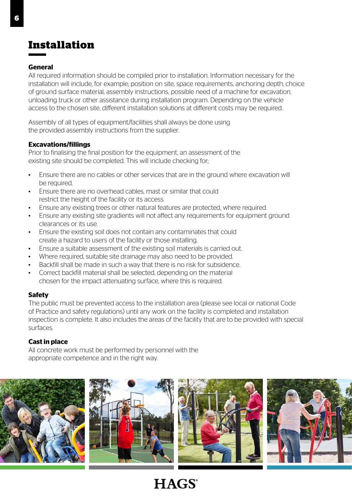## **Installation**

#### **General**

All required information should be compiled prior to installation. Information necessary for the installation will include, for example; position on site, space requirements, anchoring depth, choice of ground surface material, assembly instructions, possible need of a machine for excavation, unloading truck or other assistance during installation program. Depending on the vehicle access to the chosen site, different installation solutions at different costs may be required.

Assembly of all types of equipment/facilities shall always be done using the provided assembly instructions from the supplier.

#### **Excavations/fillings**

Prior to finalising the final position for the equipment, an assessment of the existing site should be completed. This will include checking for;

- Ensure there are no cables or other services that are in the ground where excavation will be required.
- Ensure there are no overhead cables, mast or similar that could restrict the height of the facility or its access.
- Ensure any existing trees or other natural features are protected, where required.
- Ensure any existing site gradients will not affect any requirements for equipment ground clearances or its use.
- Ensure the existing soil does not contain any contaminates that could create a hazard to users of the facility or those installing.
- Ensure a suitable assessment of the existing soil materials is carried out.
- Where required, suitable site drainage may also need to be provided.
- Backfill shall be made in such a way that there is no risk for subsidence.
- Correct backfill material shall be selected, depending on the material chosen for the impact attenuating surface, where this is required.

#### **Safety**

The public must be prevented access to the installation area (please see local or national Code of Practice and safety regulations) until any work on the facility is completed and installation inspection is complete. It also includes the areas of the facility that are to be provided with special surfaces.

#### **Cast in place**

All concrete work must be performed by personnel with the appropriate competence and in the right way.









## **HAGS**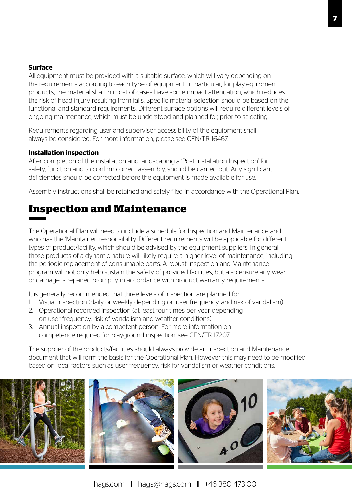#### **Surface**

All equipment must be provided with a suitable surface, which will vary depending on the requirements according to each type of equipment. In particular, for play equipment products, the material shall in most of cases have some impact attenuation, which reduces the risk of head injury resulting from falls. Specific material selection should be based on the functional and standard requirements. Different surface options will require different levels of ongoing maintenance, which must be understood and planned for, prior to selecting.

Requirements regarding user and supervisor accessibility of the equipment shall always be considered. For more information, please see CEN/TR 16467.

#### **Installation inspection**

After completion of the installation and landscaping a 'Post Installation Inspection' for safety, function and to confirm correct assembly, should be carried out. Any significant deficiencies should be corrected before the equipment is made available for use.

Assembly instructions shall be retained and safely filed in accordance with the Operational Plan.

### **Inspection and Maintenance**

The Operational Plan will need to include a schedule for Inspection and Maintenance and who has the 'Maintainer' responsibility. Different requirements will be applicable for different types of product/facility, which should be advised by the equipment suppliers. In general, those products of a dynamic nature will likely require a higher level of maintenance, including the periodic replacement of consumable parts. A robust Inspection and Maintenance program will not only help sustain the safety of provided facilities, but also ensure any wear or damage is repaired promptly in accordance with product warranty requirements.

It is generally recommended that three levels of inspection are planned for;

- 1. Visual inspection (daily or weekly depending on user frequency, and risk of vandalism)
- 2. Operational recorded inspection (at least four times per year depending on user frequency, risk of vandalism and weather conditions)
- 3. Annual inspection by a competent person. For more information on competence required for playground inspection, see CEN/TR 17207.

The supplier of the products/facilities should always provide an Inspection and Maintenance document that will form the basis for the Operational Plan. However this may need to be modified, based on local factors such as user frequency, risk for vandalism or weather conditions.